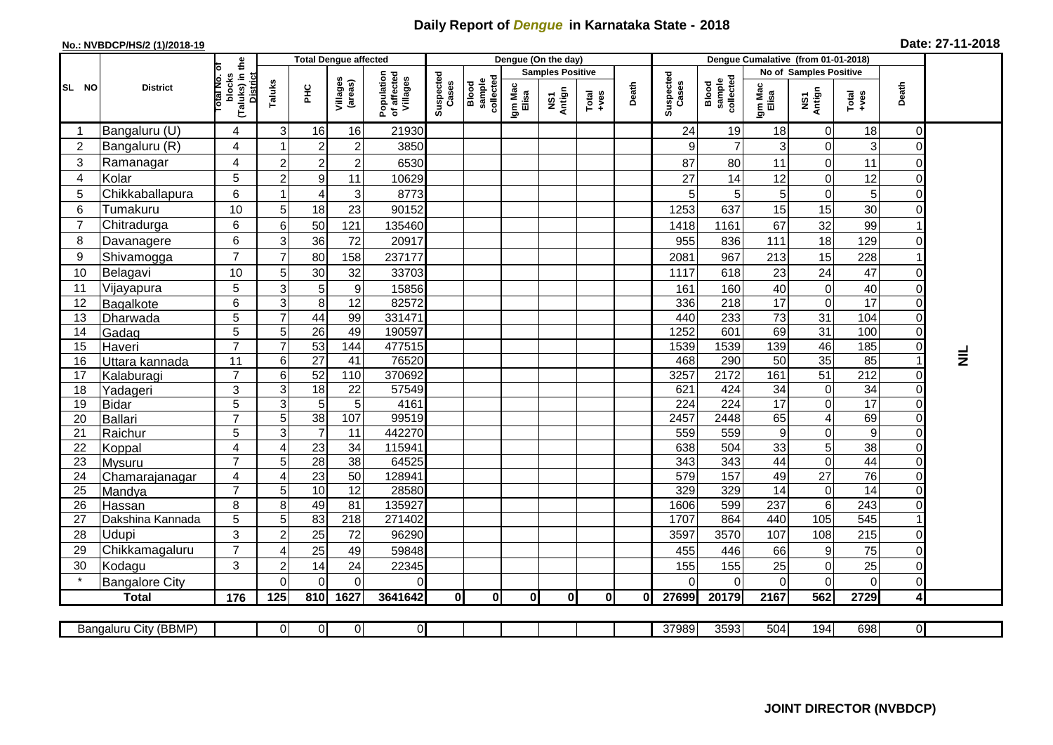## **Daily Report of** *Dengue* **in Karnataka State - 2018**

## **No.: NVBDCP/HS/2 (1)/2018-19 Date: 27-11-2018**

|                | <b>District</b>          |                                                              | <b>Total Dengue affected</b> |                       |                     |                                       |                    |                              |                         | Dengue (On the day) |                                                                                                                                                                                                                                                                                                                                                                                                             |              |                    |                              |                        |                                  |                 |                |                 |
|----------------|--------------------------|--------------------------------------------------------------|------------------------------|-----------------------|---------------------|---------------------------------------|--------------------|------------------------------|-------------------------|---------------------|-------------------------------------------------------------------------------------------------------------------------------------------------------------------------------------------------------------------------------------------------------------------------------------------------------------------------------------------------------------------------------------------------------------|--------------|--------------------|------------------------------|------------------------|----------------------------------|-----------------|----------------|-----------------|
| SL NO          |                          |                                                              |                              |                       |                     |                                       | Suspected<br>Cases | collected<br>sample<br>Blood | <b>Samples Positive</b> |                     |                                                                                                                                                                                                                                                                                                                                                                                                             |              |                    |                              | No of Samples Positive |                                  |                 |                |                 |
|                |                          | (Taluks) in the<br>Total No. of<br>blocks<br><b>District</b> | Taluks                       | $rac{C}{\pi}$         | Villages<br>(areas) | Population<br>of affected<br>Villages |                    |                              | Igm Mac<br>Elisa        | NS1<br>Antign       | $\begin{array}{c}\n\text{Total} \\ \text{1-4} \\ \text{1-4} \\ \text{1-4} \\ \text{1-4} \\ \text{1-4} \\ \text{1-4} \\ \text{1-4} \\ \text{1-4} \\ \text{1-4} \\ \text{1-4} \\ \text{1-4} \\ \text{1-4} \\ \text{1-4} \\ \text{1-4} \\ \text{1-4} \\ \text{1-4} \\ \text{1-4} \\ \text{1-4} \\ \text{1-4} \\ \text{1-4} \\ \text{1-4} \\ \text{1-4} \\ \text{1-4} \\ \text{1-4} \\ \text{1-4} \\ \text{1-4$ | Death        | Suspected<br>Cases | Blood<br>sample<br>collected | Igm Mac<br>Elisa       | NS1<br>Antign                    | Total<br>+ves   | Death          |                 |
|                | Bangaluru (U)            | 4                                                            | 3                            | 16                    | 16                  | 21930                                 |                    |                              |                         |                     |                                                                                                                                                                                                                                                                                                                                                                                                             |              | 24                 | 19                           | 18                     | $\mathbf 0$                      | 18              | 0              |                 |
| $\overline{c}$ | Bangaluru (R)            | 4                                                            | -1                           | $\overline{c}$        | $\overline{2}$      | 3850                                  |                    |                              |                         |                     |                                                                                                                                                                                                                                                                                                                                                                                                             |              | 9                  | $\overline{7}$               | 3                      | $\overline{0}$                   | 3               | 0              |                 |
| 3              | Ramanagar                | 4                                                            | $\overline{2}$               | $\overline{c}$        | $\overline{2}$      | 6530                                  |                    |                              |                         |                     |                                                                                                                                                                                                                                                                                                                                                                                                             |              | 87                 | 80                           | 11                     | $\Omega$                         | 11              | 0              |                 |
| 4              | Kolar                    | 5                                                            | $\overline{c}$               | $\overline{9}$        | 11                  | 10629                                 |                    |                              |                         |                     |                                                                                                                                                                                                                                                                                                                                                                                                             |              | 27                 | 14                           | 12                     | $\overline{0}$                   | 12              | 0              |                 |
| 5              | Chikkaballapura          | 6                                                            | -1                           | 4                     | 3                   | 8773                                  |                    |                              |                         |                     |                                                                                                                                                                                                                                                                                                                                                                                                             |              | 5                  | 5                            | 5                      | $\Omega$                         | 5               | 0              |                 |
| 6              | Tumakuru                 | 10                                                           | 5                            | 18                    | 23                  | 90152                                 |                    |                              |                         |                     |                                                                                                                                                                                                                                                                                                                                                                                                             |              | 1253               | 637                          | 15                     | 15                               | 30              | 0              |                 |
| 7              | Chitradurga              | 6                                                            | 6                            | 50                    | 121                 | 135460                                |                    |                              |                         |                     |                                                                                                                                                                                                                                                                                                                                                                                                             |              | 1418               | 1161                         | 67                     | 32                               | 99              |                |                 |
| 8              | Davanagere               | 6                                                            | 3                            | 36                    | 72                  | 20917                                 |                    |                              |                         |                     |                                                                                                                                                                                                                                                                                                                                                                                                             |              | 955                | 836                          | 111                    | 18                               | 129             | 0              |                 |
| 9              | Shivamogga               | $\overline{7}$                                               | $\overline{7}$               | 80                    | 158                 | 237177                                |                    |                              |                         |                     |                                                                                                                                                                                                                                                                                                                                                                                                             |              | 2081               | 967                          | 213                    | 15                               | 228             |                |                 |
| 10             | Belagavi                 | 10                                                           | 5                            | $30\,$                | 32                  | 33703                                 |                    |                              |                         |                     |                                                                                                                                                                                                                                                                                                                                                                                                             |              | 1117               | 618                          | 23                     | 24                               | 47              | 0              |                 |
| 11             | Vijayapura               | 5                                                            | 3                            | 5                     | $\boldsymbol{9}$    | 15856                                 |                    |                              |                         |                     |                                                                                                                                                                                                                                                                                                                                                                                                             |              | 161                | 160                          | 40                     | $\overline{0}$                   | 40              | 0              |                 |
| 12             | Bagalkote                | 6                                                            | 3                            | 8 <sup>1</sup>        | $\overline{12}$     | 82572                                 |                    |                              |                         |                     |                                                                                                                                                                                                                                                                                                                                                                                                             |              | 336                | $\overline{218}$             | $\overline{17}$        | $\overline{0}$                   | 17              | 0              |                 |
| 13             | Dharwada                 | 5                                                            | $\overline{7}$               | 44                    | 99                  | 331471                                |                    |                              |                         |                     |                                                                                                                                                                                                                                                                                                                                                                                                             |              | 440                | 233                          | $\overline{73}$        | 31                               | 104             | 0              |                 |
| 14             | Gadag                    | $\overline{5}$                                               | 5                            | $\overline{26}$       | 49                  | 190597                                |                    |                              |                         |                     |                                                                                                                                                                                                                                                                                                                                                                                                             |              | 1252               | 601                          | 69                     | 31                               | 100             | $\overline{0}$ |                 |
| 15             | Haveri                   | $\overline{7}$                                               | 7                            | 53                    | 144                 | 477515                                |                    |                              |                         |                     |                                                                                                                                                                                                                                                                                                                                                                                                             |              | 1539               | 1539                         | 139                    | 46                               | 185             | $\overline{0}$ |                 |
| 16             | Uttara kannada           | 11                                                           | 6                            | $\overline{27}$       | 41                  | 76520                                 |                    |                              |                         |                     |                                                                                                                                                                                                                                                                                                                                                                                                             |              | 468                | 290                          | 50                     | 35                               | 85              | 1              | $\bar{\bar{z}}$ |
| 17             | Kalaburagi               | $\overline{7}$                                               | 6                            | 52                    | 110                 | 370692                                |                    |                              |                         |                     |                                                                                                                                                                                                                                                                                                                                                                                                             |              | 3257               | 2172                         | 161                    | 51                               | 212             | 0              |                 |
| 18             | Yadageri                 | 3                                                            | 3                            | 18                    | 22                  | 57549                                 |                    |                              |                         |                     |                                                                                                                                                                                                                                                                                                                                                                                                             |              | 621                | 424                          | 34                     | $\overline{0}$                   | 34              | 0              |                 |
| 19             | <b>Bidar</b>             | 5                                                            | $\mathbf{3}$                 | $\overline{5}$        | 5                   | 4161                                  |                    |                              |                         |                     |                                                                                                                                                                                                                                                                                                                                                                                                             |              | 224                | 224                          | 17                     | $\Omega$                         | 17              | 0              |                 |
| 20             | Ballari                  | $\overline{7}$                                               | 5                            | $\overline{38}$       | 107                 | 99519                                 |                    |                              |                         |                     |                                                                                                                                                                                                                                                                                                                                                                                                             |              | 2457               | 2448                         | 65                     | $\overline{4}$                   | 69              | 0              |                 |
| 21             | Raichur                  | $\overline{5}$                                               | 3                            | $\overline{7}$        | $\overline{11}$     | 442270                                |                    |                              |                         |                     |                                                                                                                                                                                                                                                                                                                                                                                                             |              | 559                | 559                          | $\boldsymbol{9}$       | $\overline{0}$                   | 9               | $\overline{0}$ |                 |
| 22             | Koppal                   | 4<br>$\overline{7}$                                          | 4<br>5                       | 23                    | 34<br>38            | 115941<br>64525                       |                    |                              |                         |                     |                                                                                                                                                                                                                                                                                                                                                                                                             |              | 638<br>343         | 504<br>343                   | 33<br>44               | 5 <sup>1</sup><br>$\overline{0}$ | 38<br>44        | 0<br>0         |                 |
| 23<br>24       | Mysuru<br>Chamarajanagar | 4                                                            | $\overline{4}$               | 28<br>$\overline{23}$ | 50                  | 128941                                |                    |                              |                         |                     |                                                                                                                                                                                                                                                                                                                                                                                                             |              | 579                | 157                          | 49                     | $\overline{27}$                  | 76              | 0              |                 |
| 25             | Mandya                   | $\overline{7}$                                               | 5                            | 10                    | $\overline{12}$     | 28580                                 |                    |                              |                         |                     |                                                                                                                                                                                                                                                                                                                                                                                                             |              | 329                | 329                          | 14                     | $\Omega$                         | $\overline{14}$ | 0              |                 |
| 26             | Hassan                   | 8                                                            | 8                            | 49                    | 81                  | 135927                                |                    |                              |                         |                     |                                                                                                                                                                                                                                                                                                                                                                                                             |              | 1606               | 599                          | 237                    | 6                                | 243             | 0              |                 |
| 27             | Dakshina Kannada         | $\overline{5}$                                               | 5                            | 83                    | $\overline{218}$    | 271402                                |                    |                              |                         |                     |                                                                                                                                                                                                                                                                                                                                                                                                             |              | 1707               | 864                          | 440                    | $\frac{105}{105}$                | 545             |                |                 |
| 28             | Udupi                    | 3                                                            | $\overline{2}$               | 25                    | 72                  | 96290                                 |                    |                              |                         |                     |                                                                                                                                                                                                                                                                                                                                                                                                             |              | 3597               | 3570                         | 107                    | 108                              | 215             | 0              |                 |
| 29             | Chikkamagaluru           | $\overline{7}$                                               | 4                            | 25                    | 49                  | 59848                                 |                    |                              |                         |                     |                                                                                                                                                                                                                                                                                                                                                                                                             |              | 455                | 446                          | 66                     | 9                                | 75              | 0              |                 |
| 30             | Kodagu                   | 3                                                            | 2                            | 14                    | 24                  | 22345                                 |                    |                              |                         |                     |                                                                                                                                                                                                                                                                                                                                                                                                             |              | 155                | 155                          | 25                     | $\overline{0}$                   | 25              | 0              |                 |
|                | <b>Bangalore City</b>    |                                                              | $\Omega$                     | $\Omega$              | $\overline{0}$      | 0                                     |                    |                              |                         |                     |                                                                                                                                                                                                                                                                                                                                                                                                             |              | 0                  | $\mathbf 0$                  | $\mathbf 0$            | $\Omega$                         | $\mathsf 0$     | $\overline{0}$ |                 |
|                | <b>Total</b>             | 176                                                          | 125                          | 810                   | 1627                | 3641642                               | $\bf{0}$           | $\mathbf{0}$                 | 0                       | $\mathbf{0}$        | Οl                                                                                                                                                                                                                                                                                                                                                                                                          | $\mathbf{0}$ | 27699              | 20179                        | 2167                   | 562                              | 2729            | $\overline{4}$ |                 |
|                |                          |                                                              |                              |                       |                     |                                       |                    |                              |                         |                     |                                                                                                                                                                                                                                                                                                                                                                                                             |              |                    |                              |                        |                                  |                 |                |                 |
|                | Bangaluru City (BBMP)    |                                                              | $\overline{0}$               | $\overline{0}$        | $\overline{0}$      | $\overline{0}$                        |                    |                              |                         |                     |                                                                                                                                                                                                                                                                                                                                                                                                             |              | 37989              | 3593                         | 504                    | 194                              | 698             | O              |                 |